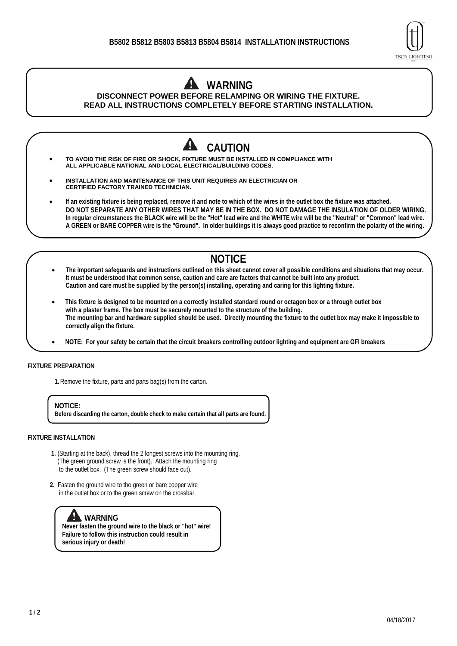

# **WARNING**

**DISCONNECT POWER BEFORE RELAMPING OR WIRING THE FIXTURE. READ ALL INSTRUCTIONS COMPLETELY BEFORE STARTING INSTALLATION.**



## **NOTICE**

- **The important safeguards and instructions outlined on this sheet cannot cover all possible conditions and situations that may occur. It must be understood that common sense, caution and care are factors that cannot be built into any product. Caution and care must be supplied by the person(s) installing, operating and caring for this lighting fixture.**
- **This fixture is designed to be mounted on a correctly installed standard round or octagon box or a through outlet box with a plaster frame. The box must be securely mounted to the structure of the building. The mounting bar and hardware supplied should be used. Directly mounting the fixture to the outlet box may make it impossible to correctly align the fixture.**
- **NOTE: For your safety be certain that the circuit breakers controlling outdoor lighting and equipment are GFI breakers**

#### **FIXTURE PREPARATION**

**1.**Remove the fixture, parts and parts bag(s) from the carton.

**NOTICE: Before discarding the carton, double check to make certain that all parts are found.** 

#### **FIXTURE INSTALLATION**

- **1.** (Starting at the back), thread the 2 longest screws into the mounting ring. (The green ground screw is the front). Attach the mounting ring to the outlet box. (The green screw should face out).
- **2.** Fasten the ground wire to the green or bare copper wire in the outlet box or to the green screw on the crossbar.

### **WARNING**

**Never fasten the ground wire to the black or "hot" wire! Failure to follow this instruction could result in serious injury or death!**